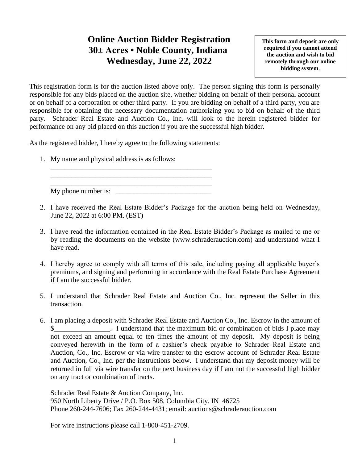## **Online Auction Bidder Registration 30± Acres • Noble County, Indiana Wednesday, June 22, 2022**

**This form and deposit are only required if you cannot attend the auction and wish to bid remotely through our online bidding system**.

This registration form is for the auction listed above only. The person signing this form is personally responsible for any bids placed on the auction site, whether bidding on behalf of their personal account or on behalf of a corporation or other third party. If you are bidding on behalf of a third party, you are responsible for obtaining the necessary documentation authorizing you to bid on behalf of the third party. Schrader Real Estate and Auction Co., Inc. will look to the herein registered bidder for performance on any bid placed on this auction if you are the successful high bidder.

As the registered bidder, I hereby agree to the following statements:

1. My name and physical address is as follows:

\_\_\_\_\_\_\_\_\_\_\_\_\_\_\_\_\_\_\_\_\_\_\_\_\_\_\_\_\_\_\_\_\_\_\_\_\_\_\_\_\_\_\_\_\_\_  $Mv$  phone number is:

\_\_\_\_\_\_\_\_\_\_\_\_\_\_\_\_\_\_\_\_\_\_\_\_\_\_\_\_\_\_\_\_\_\_\_\_\_\_\_\_\_\_\_\_\_\_ \_\_\_\_\_\_\_\_\_\_\_\_\_\_\_\_\_\_\_\_\_\_\_\_\_\_\_\_\_\_\_\_\_\_\_\_\_\_\_\_\_\_\_\_\_\_

- 2. I have received the Real Estate Bidder's Package for the auction being held on Wednesday, June 22, 2022 at 6:00 PM. (EST)
- 3. I have read the information contained in the Real Estate Bidder's Package as mailed to me or by reading the documents on the website (www.schraderauction.com) and understand what I have read.
- 4. I hereby agree to comply with all terms of this sale, including paying all applicable buyer's premiums, and signing and performing in accordance with the Real Estate Purchase Agreement if I am the successful bidder.
- 5. I understand that Schrader Real Estate and Auction Co., Inc. represent the Seller in this transaction.
- 6. I am placing a deposit with Schrader Real Estate and Auction Co., Inc. Escrow in the amount of I understand that the maximum bid or combination of bids I place may not exceed an amount equal to ten times the amount of my deposit. My deposit is being conveyed herewith in the form of a cashier's check payable to Schrader Real Estate and Auction, Co., Inc. Escrow or via wire transfer to the escrow account of Schrader Real Estate and Auction, Co., Inc. per the instructions below. I understand that my deposit money will be returned in full via wire transfer on the next business day if I am not the successful high bidder on any tract or combination of tracts.

Schrader Real Estate & Auction Company, Inc. 950 North Liberty Drive / P.O. Box 508, Columbia City, IN 46725 Phone 260-244-7606; Fax 260-244-4431; email: auctions@schraderauction.com

For wire instructions please call 1-800-451-2709.